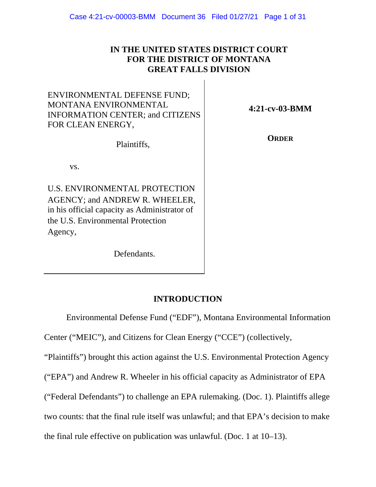# **IN THE UNITED STATES DISTRICT COURT FOR THE DISTRICT OF MONTANA GREAT FALLS DIVISION**

# ENVIRONMENTAL DEFENSE FUND; MONTANA ENVIRONMENTAL INFORMATION CENTER; and CITIZENS FOR CLEAN ENERGY,

**4:21-cv-03-BMM** 

Plaintiffs,

**ORDER** 

vs.

U.S. ENVIRONMENTAL PROTECTION AGENCY; and ANDREW R. WHEELER, in his official capacity as Administrator of the U.S. Environmental Protection Agency,

Defendants.

# **INTRODUCTION**

Environmental Defense Fund ("EDF"), Montana Environmental Information

Center ("MEIC"), and Citizens for Clean Energy ("CCE") (collectively,

"Plaintiffs") brought this action against the U.S. Environmental Protection Agency

("EPA") and Andrew R. Wheeler in his official capacity as Administrator of EPA

("Federal Defendants") to challenge an EPA rulemaking. (Doc. 1). Plaintiffs allege

two counts: that the final rule itself was unlawful; and that EPA's decision to make

the final rule effective on publication was unlawful. (Doc. 1 at 10–13).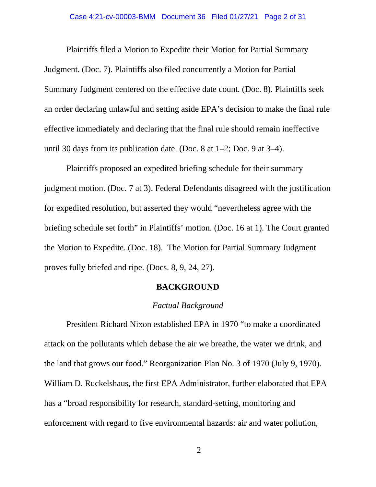#### Case 4:21-cv-00003-BMM Document 36 Filed 01/27/21 Page 2 of 31

Plaintiffs filed a Motion to Expedite their Motion for Partial Summary Judgment. (Doc. 7). Plaintiffs also filed concurrently a Motion for Partial Summary Judgment centered on the effective date count. (Doc. 8). Plaintiffs seek an order declaring unlawful and setting aside EPA's decision to make the final rule effective immediately and declaring that the final rule should remain ineffective until 30 days from its publication date. (Doc. 8 at 1–2; Doc. 9 at 3–4).

Plaintiffs proposed an expedited briefing schedule for their summary judgment motion. (Doc. 7 at 3). Federal Defendants disagreed with the justification for expedited resolution, but asserted they would "nevertheless agree with the briefing schedule set forth" in Plaintiffs' motion. (Doc. 16 at 1). The Court granted the Motion to Expedite. (Doc. 18). The Motion for Partial Summary Judgment proves fully briefed and ripe. (Docs. 8, 9, 24, 27).

#### **BACKGROUND**

### *Factual Background*

President Richard Nixon established EPA in 1970 "to make a coordinated attack on the pollutants which debase the air we breathe, the water we drink, and the land that grows our food." Reorganization Plan No. 3 of 1970 (July 9, 1970). William D. Ruckelshaus, the first EPA Administrator, further elaborated that EPA has a "broad responsibility for research, standard-setting, monitoring and enforcement with regard to five environmental hazards: air and water pollution,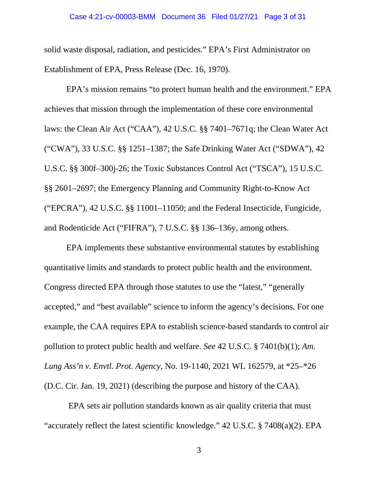#### Case 4:21-cv-00003-BMM Document 36 Filed 01/27/21 Page 3 of 31

solid waste disposal, radiation, and pesticides." EPA's First Administrator on Establishment of EPA, Press Release (Dec. 16, 1970).

EPA's mission remains "to protect human health and the environment." EPA achieves that mission through the implementation of these core environmental laws: the Clean Air Act ("CAA"), 42 U.S.C. §§ 7401–7671q; the Clean Water Act ("CWA"), 33 U.S.C. §§ 1251–1387; the Safe Drinking Water Act ("SDWA"), 42 U.S.C. §§ 300f–300j-26; the Toxic Substances Control Act ("TSCA"), 15 U.S.C. §§ 2601–2697; the Emergency Planning and Community Right-to-Know Act ("EPCRA"), 42 U.S.C. §§ 11001–11050; and the Federal Insecticide, Fungicide, and Rodenticide Act ("FIFRA"), 7 U.S.C. §§ 136–136y, among others.

EPA implements these substantive environmental statutes by establishing quantitative limits and standards to protect public health and the environment. Congress directed EPA through those statutes to use the "latest," "generally accepted," and "best available" science to inform the agency's decisions. For one example, the CAA requires EPA to establish science-based standards to control air pollution to protect public health and welfare. *See* 42 U.S.C. § 7401(b)(1); *Am. Lung Ass'n v. Envtl. Prot. Agency*, No. 19-1140, 2021 WL 162579, at \*25–\*26 (D.C. Cir. Jan. 19, 2021) (describing the purpose and history of the CAA).

EPA sets air pollution standards known as air quality criteria that must "accurately reflect the latest scientific knowledge." 42 U.S.C. § 7408(a)(2). EPA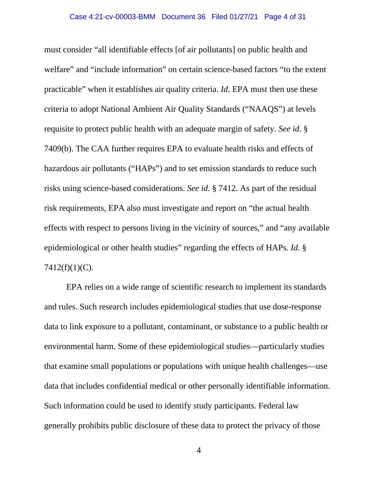must consider "all identifiable effects [of air pollutants] on public health and welfare" and "include information" on certain science-based factors "to the extent practicable" when it establishes air quality criteria. *Id*. EPA must then use these criteria to adopt National Ambient Air Quality Standards ("NAAQS") at levels requisite to protect public health with an adequate margin of safety. *See id*. § 7409(b). The CAA further requires EPA to evaluate health risks and effects of hazardous air pollutants ("HAPs") and to set emission standards to reduce such risks using science-based considerations. *See id*. § 7412. As part of the residual risk requirements, EPA also must investigate and report on "the actual health effects with respect to persons living in the vicinity of sources," and "any available epidemiological or other health studies" regarding the effects of HAPs. *Id*. §  $7412(f)(1)(C)$ .

EPA relies on a wide range of scientific research to implement its standards and rules. Such research includes epidemiological studies that use dose-response data to link exposure to a pollutant, contaminant, or substance to a public health or environmental harm. Some of these epidemiological studies—particularly studies that examine small populations or populations with unique health challenges—use data that includes confidential medical or other personally identifiable information. Such information could be used to identify study participants. Federal law generally prohibits public disclosure of these data to protect the privacy of those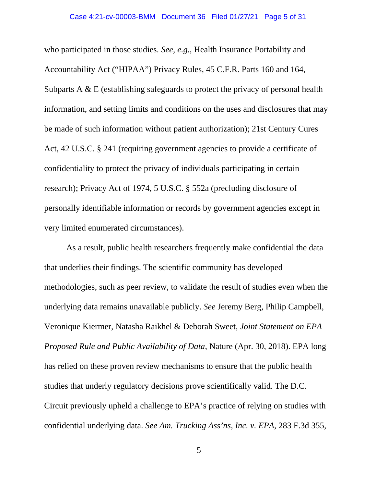who participated in those studies. *See, e.g.*, Health Insurance Portability and Accountability Act ("HIPAA") Privacy Rules, 45 C.F.R. Parts 160 and 164, Subparts A  $\&$  E (establishing safeguards to protect the privacy of personal health information, and setting limits and conditions on the uses and disclosures that may be made of such information without patient authorization); 21st Century Cures Act, 42 U.S.C. § 241 (requiring government agencies to provide a certificate of confidentiality to protect the privacy of individuals participating in certain research); Privacy Act of 1974, 5 U.S.C. § 552a (precluding disclosure of personally identifiable information or records by government agencies except in very limited enumerated circumstances).

As a result, public health researchers frequently make confidential the data that underlies their findings. The scientific community has developed methodologies, such as peer review, to validate the result of studies even when the underlying data remains unavailable publicly. *See* Jeremy Berg, Philip Campbell, Veronique Kiermer, Natasha Raikhel & Deborah Sweet, *Joint Statement on EPA Proposed Rule and Public Availability of Data*, Nature (Apr. 30, 2018). EPA long has relied on these proven review mechanisms to ensure that the public health studies that underly regulatory decisions prove scientifically valid. The D.C. Circuit previously upheld a challenge to EPA's practice of relying on studies with confidential underlying data. *See Am. Trucking Ass'ns, Inc. v. EPA*, 283 F.3d 355,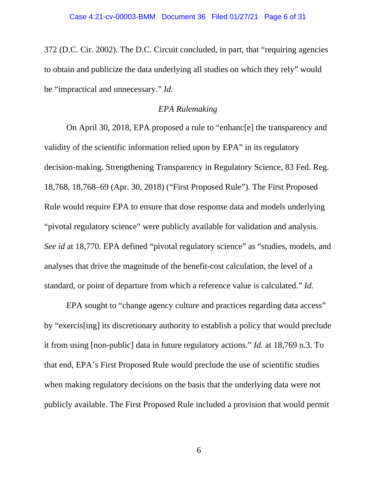372 (D.C. Cir. 2002). The D.C. Circuit concluded, in part, that "requiring agencies to obtain and publicize the data underlying all studies on which they rely" would be "impractical and unnecessary." *Id.* 

# *EPA Rulemaking*

On April 30, 2018, EPA proposed a rule to "enhanc[e] the transparency and validity of the scientific information relied upon by EPA" in its regulatory decision-making. Strengthening Transparency in Regulatory Science, 83 Fed. Reg. 18,768, 18,768–69 (Apr. 30, 2018) ("First Proposed Rule"). The First Proposed Rule would require EPA to ensure that dose response data and models underlying "pivotal regulatory science" were publicly available for validation and analysis. *See id* at 18,770. EPA defined "pivotal regulatory science" as "studies, models, and analyses that drive the magnitude of the benefit-cost calculation, the level of a standard, or point of departure from which a reference value is calculated." *Id.* 

EPA sought to "change agency culture and practices regarding data access" by "exercis[ing] its discretionary authority to establish a policy that would preclude it from using [non-public] data in future regulatory actions." *Id.* at 18,769 n.3. To that end, EPA's First Proposed Rule would preclude the use of scientific studies when making regulatory decisions on the basis that the underlying data were not publicly available. The First Proposed Rule included a provision that would permit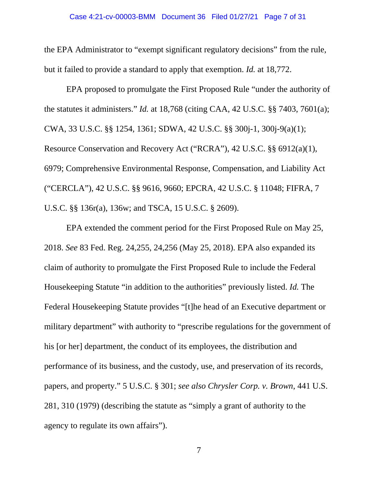the EPA Administrator to "exempt significant regulatory decisions" from the rule, but it failed to provide a standard to apply that exemption. *Id.* at 18,772.

EPA proposed to promulgate the First Proposed Rule "under the authority of the statutes it administers." *Id.* at 18,768 (citing CAA, 42 U.S.C. §§ 7403, 7601(a); CWA, 33 U.S.C. §§ 1254, 1361; SDWA, 42 U.S.C. §§ 300j-1, 300j-9(a)(1); Resource Conservation and Recovery Act ("RCRA"), 42 U.S.C. §§ 6912(a)(1), 6979; Comprehensive Environmental Response, Compensation, and Liability Act ("CERCLA"), 42 U.S.C. §§ 9616, 9660; EPCRA, 42 U.S.C. § 11048; FIFRA, 7 U.S.C. §§ 136r(a), 136w; and TSCA, 15 U.S.C. § 2609).

EPA extended the comment period for the First Proposed Rule on May 25, 2018. *See* 83 Fed. Reg. 24,255, 24,256 (May 25, 2018). EPA also expanded its claim of authority to promulgate the First Proposed Rule to include the Federal Housekeeping Statute "in addition to the authorities" previously listed. *Id.* The Federal Housekeeping Statute provides "[t]he head of an Executive department or military department" with authority to "prescribe regulations for the government of his [or her] department, the conduct of its employees, the distribution and performance of its business, and the custody, use, and preservation of its records, papers, and property." 5 U.S.C. § 301; *see also Chrysler Corp. v. Brown*, 441 U.S. 281, 310 (1979) (describing the statute as "simply a grant of authority to the agency to regulate its own affairs").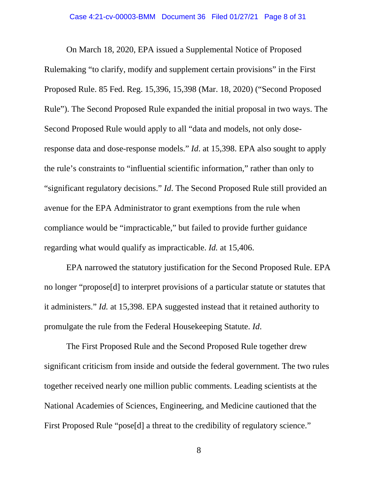On March 18, 2020, EPA issued a Supplemental Notice of Proposed Rulemaking "to clarify, modify and supplement certain provisions" in the First Proposed Rule. 85 Fed. Reg. 15,396, 15,398 (Mar. 18, 2020) ("Second Proposed Rule"). The Second Proposed Rule expanded the initial proposal in two ways. The Second Proposed Rule would apply to all "data and models, not only doseresponse data and dose-response models." *Id*. at 15,398. EPA also sought to apply the rule's constraints to "influential scientific information," rather than only to "significant regulatory decisions." *Id*. The Second Proposed Rule still provided an avenue for the EPA Administrator to grant exemptions from the rule when compliance would be "impracticable," but failed to provide further guidance regarding what would qualify as impracticable. *Id.* at 15,406.

EPA narrowed the statutory justification for the Second Proposed Rule. EPA no longer "propose[d] to interpret provisions of a particular statute or statutes that it administers." *Id.* at 15,398. EPA suggested instead that it retained authority to promulgate the rule from the Federal Housekeeping Statute. *Id*.

The First Proposed Rule and the Second Proposed Rule together drew significant criticism from inside and outside the federal government. The two rules together received nearly one million public comments. Leading scientists at the National Academies of Sciences, Engineering, and Medicine cautioned that the First Proposed Rule "pose[d] a threat to the credibility of regulatory science."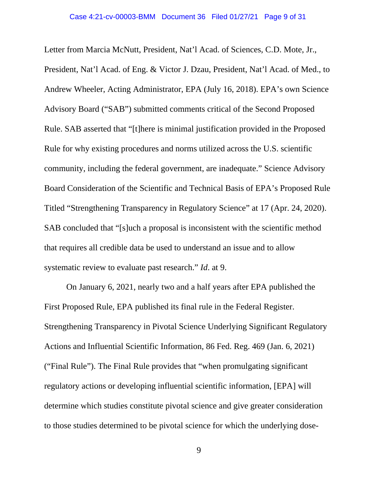Letter from Marcia McNutt, President, Nat'l Acad. of Sciences, C.D. Mote, Jr., President, Nat'l Acad. of Eng. & Victor J. Dzau, President, Nat'l Acad. of Med., to Andrew Wheeler, Acting Administrator, EPA (July 16, 2018). EPA's own Science Advisory Board ("SAB") submitted comments critical of the Second Proposed Rule. SAB asserted that "[t]here is minimal justification provided in the Proposed Rule for why existing procedures and norms utilized across the U.S. scientific community, including the federal government, are inadequate." Science Advisory Board Consideration of the Scientific and Technical Basis of EPA's Proposed Rule Titled "Strengthening Transparency in Regulatory Science" at 17 (Apr. 24, 2020). SAB concluded that "[s]uch a proposal is inconsistent with the scientific method that requires all credible data be used to understand an issue and to allow systematic review to evaluate past research." *Id*. at 9.

On January 6, 2021, nearly two and a half years after EPA published the First Proposed Rule, EPA published its final rule in the Federal Register. Strengthening Transparency in Pivotal Science Underlying Significant Regulatory Actions and Influential Scientific Information, 86 Fed. Reg. 469 (Jan. 6, 2021) ("Final Rule"). The Final Rule provides that "when promulgating significant regulatory actions or developing influential scientific information, [EPA] will determine which studies constitute pivotal science and give greater consideration to those studies determined to be pivotal science for which the underlying dose-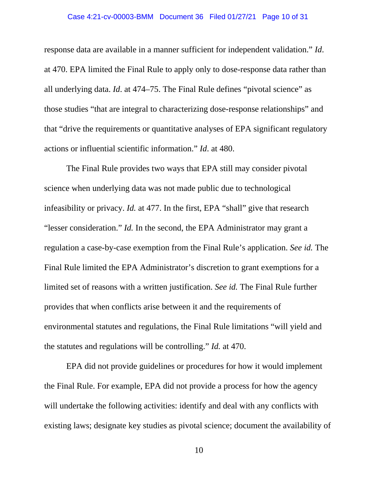#### Case 4:21-cv-00003-BMM Document 36 Filed 01/27/21 Page 10 of 31

response data are available in a manner sufficient for independent validation." *Id*. at 470. EPA limited the Final Rule to apply only to dose-response data rather than all underlying data. *Id*. at 474–75. The Final Rule defines "pivotal science" as those studies "that are integral to characterizing dose-response relationships" and that "drive the requirements or quantitative analyses of EPA significant regulatory actions or influential scientific information." *Id*. at 480.

The Final Rule provides two ways that EPA still may consider pivotal science when underlying data was not made public due to technological infeasibility or privacy. *Id.* at 477. In the first, EPA "shall" give that research "lesser consideration." *Id.* In the second, the EPA Administrator may grant a regulation a case-by-case exemption from the Final Rule's application. *See id.* The Final Rule limited the EPA Administrator's discretion to grant exemptions for a limited set of reasons with a written justification. *See id.* The Final Rule further provides that when conflicts arise between it and the requirements of environmental statutes and regulations, the Final Rule limitations "will yield and the statutes and regulations will be controlling." *Id.* at 470.

EPA did not provide guidelines or procedures for how it would implement the Final Rule. For example, EPA did not provide a process for how the agency will undertake the following activities: identify and deal with any conflicts with existing laws; designate key studies as pivotal science; document the availability of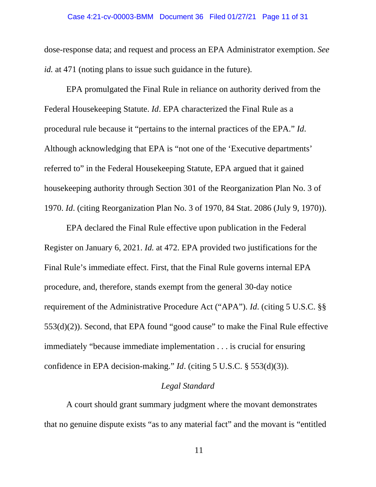#### Case 4:21-cv-00003-BMM Document 36 Filed 01/27/21 Page 11 of 31

dose-response data; and request and process an EPA Administrator exemption. *See id.* at 471 (noting plans to issue such guidance in the future).

EPA promulgated the Final Rule in reliance on authority derived from the Federal Housekeeping Statute. *Id*. EPA characterized the Final Rule as a procedural rule because it "pertains to the internal practices of the EPA." *Id*. Although acknowledging that EPA is "not one of the 'Executive departments' referred to" in the Federal Housekeeping Statute, EPA argued that it gained housekeeping authority through Section 301 of the Reorganization Plan No. 3 of 1970. *Id*. (citing Reorganization Plan No. 3 of 1970, 84 Stat. 2086 (July 9, 1970)).

EPA declared the Final Rule effective upon publication in the Federal Register on January 6, 2021. *Id.* at 472. EPA provided two justifications for the Final Rule's immediate effect. First, that the Final Rule governs internal EPA procedure, and, therefore, stands exempt from the general 30-day notice requirement of the Administrative Procedure Act ("APA"). *Id*. (citing 5 U.S.C. §§  $553(d)(2)$ ). Second, that EPA found "good cause" to make the Final Rule effective immediately "because immediate implementation . . . is crucial for ensuring confidence in EPA decision-making." *Id*. (citing 5 U.S.C. § 553(d)(3)).

# *Legal Standard*

A court should grant summary judgment where the movant demonstrates that no genuine dispute exists "as to any material fact" and the movant is "entitled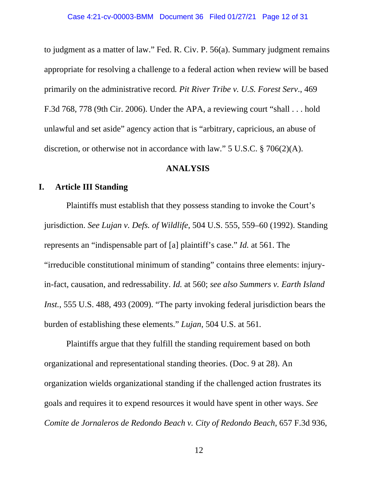to judgment as a matter of law." Fed. R. Civ. P. 56(a). Summary judgment remains appropriate for resolving a challenge to a federal action when review will be based primarily on the administrative record*. Pit River Tribe v. U.S. Forest Serv*., 469 F.3d 768, 778 (9th Cir. 2006). Under the APA, a reviewing court "shall . . . hold unlawful and set aside" agency action that is "arbitrary, capricious, an abuse of discretion, or otherwise not in accordance with law." 5 U.S.C. § 706(2)(A).

## **ANALYSIS**

# **I. Article III Standing**

Plaintiffs must establish that they possess standing to invoke the Court's jurisdiction. *See Lujan v. Defs. of Wildlife*, 504 U.S. 555, 559–60 (1992). Standing represents an "indispensable part of [a] plaintiff's case." *Id.* at 561. The "irreducible constitutional minimum of standing" contains three elements: injuryin-fact, causation, and redressability. *Id.* at 560; *see also Summers v. Earth Island Inst.*, 555 U.S. 488, 493 (2009). "The party invoking federal jurisdiction bears the burden of establishing these elements." *Lujan*, 504 U.S. at 561*.*

Plaintiffs argue that they fulfill the standing requirement based on both organizational and representational standing theories. (Doc. 9 at 28). An organization wields organizational standing if the challenged action frustrates its goals and requires it to expend resources it would have spent in other ways. *See Comite de Jornaleros de Redondo Beach v. City of Redondo Beach*, 657 F.3d 936,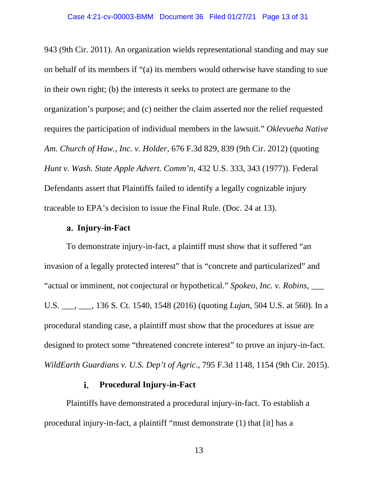943 (9th Cir. 2011). An organization wields representational standing and may sue on behalf of its members if "(a) its members would otherwise have standing to sue in their own right; (b) the interests it seeks to protect are germane to the organization's purpose; and (c) neither the claim asserted nor the relief requested requires the participation of individual members in the lawsuit." *Oklevueha Native Am. Church of Haw., Inc. v. Holder*, 676 F.3d 829, 839 (9th Cir. 2012) (quoting *Hunt v. Wash. State Apple Advert. Comm'n*, 432 U.S. 333, 343 (1977)). Federal Defendants assert that Plaintiffs failed to identify a legally cognizable injury traceable to EPA's decision to issue the Final Rule. (Doc. 24 at 13).

## **Injury-in-Fact**

To demonstrate injury-in-fact, a plaintiff must show that it suffered "an invasion of a legally protected interest" that is "concrete and particularized" and "actual or imminent, not conjectural or hypothetical." *Spokeo, Inc. v. Robins*, \_\_\_ U.S. \_\_\_, \_\_\_, 136 S. Ct. 1540, 1548 (2016) (quoting *Lujan*, 504 U.S. at 560). In a procedural standing case, a plaintiff must show that the procedures at issue are designed to protect some "threatened concrete interest" to prove an injury-in-fact. *WildEarth Guardians v. U.S. Dep't of Agric*., 795 F.3d 1148, 1154 (9th Cir. 2015).

#### **Procedural Injury-in-Fact**  i.

Plaintiffs have demonstrated a procedural injury-in-fact. To establish a procedural injury-in-fact, a plaintiff "must demonstrate (1) that [it] has a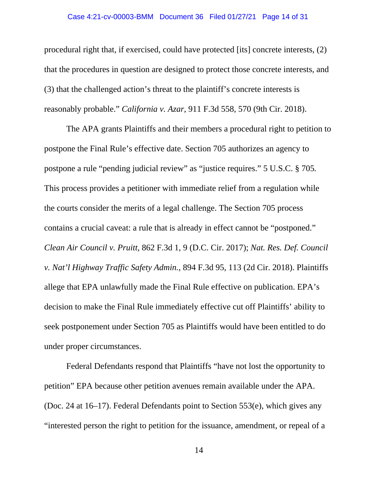#### Case 4:21-cv-00003-BMM Document 36 Filed 01/27/21 Page 14 of 31

procedural right that, if exercised, could have protected [its] concrete interests, (2) that the procedures in question are designed to protect those concrete interests, and (3) that the challenged action's threat to the plaintiff's concrete interests is reasonably probable." *California v. Azar*, 911 F.3d 558, 570 (9th Cir. 2018).

The APA grants Plaintiffs and their members a procedural right to petition to postpone the Final Rule's effective date. Section 705 authorizes an agency to postpone a rule "pending judicial review" as "justice requires." 5 U.S.C. § 705*.*  This process provides a petitioner with immediate relief from a regulation while the courts consider the merits of a legal challenge. The Section 705 process contains a crucial caveat: a rule that is already in effect cannot be "postponed." *Clean Air Council v. Pruitt*, 862 F.3d 1, 9 (D.C. Cir. 2017); *Nat. Res. Def. Council v. Nat'l Highway Traffic Safety Admin.*, 894 F.3d 95, 113 (2d Cir. 2018). Plaintiffs allege that EPA unlawfully made the Final Rule effective on publication. EPA's decision to make the Final Rule immediately effective cut off Plaintiffs' ability to seek postponement under Section 705 as Plaintiffs would have been entitled to do under proper circumstances.

Federal Defendants respond that Plaintiffs "have not lost the opportunity to petition" EPA because other petition avenues remain available under the APA. (Doc. 24 at 16–17). Federal Defendants point to Section 553(e), which gives any "interested person the right to petition for the issuance, amendment, or repeal of a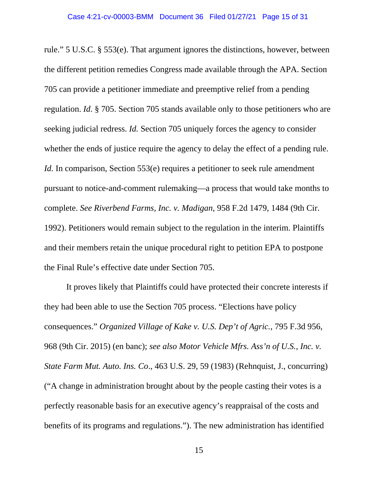rule." 5 U.S.C. § 553(e). That argument ignores the distinctions, however, between the different petition remedies Congress made available through the APA. Section 705 can provide a petitioner immediate and preemptive relief from a pending regulation. *Id*. § 705. Section 705 stands available only to those petitioners who are seeking judicial redress. *Id.* Section 705 uniquely forces the agency to consider whether the ends of justice require the agency to delay the effect of a pending rule. *Id.* In comparison, Section 553(e) requires a petitioner to seek rule amendment pursuant to notice-and-comment rulemaking—a process that would take months to complete. *See Riverbend Farms, Inc. v. Madigan,* 958 F.2d 1479, 1484 (9th Cir. 1992). Petitioners would remain subject to the regulation in the interim. Plaintiffs and their members retain the unique procedural right to petition EPA to postpone the Final Rule's effective date under Section 705.

It proves likely that Plaintiffs could have protected their concrete interests if they had been able to use the Section 705 process. "Elections have policy consequences." *Organized Village of Kake v. U.S. Dep't of Agric.*, 795 F.3d 956, 968 (9th Cir. 2015) (en banc); *see also Motor Vehicle Mfrs. Ass'n of U.S., Inc. v. State Farm Mut. Auto. Ins. Co*., 463 U.S. 29, 59 (1983) (Rehnquist, J., concurring) ("A change in administration brought about by the people casting their votes is a perfectly reasonable basis for an executive agency's reappraisal of the costs and benefits of its programs and regulations."). The new administration has identified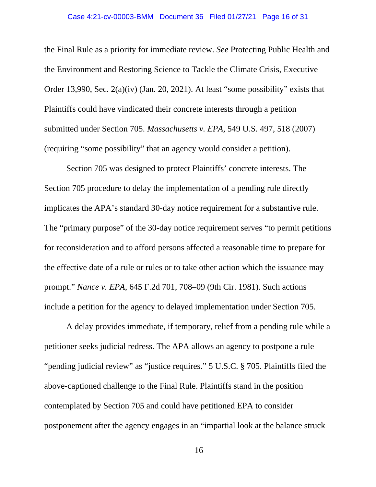#### Case 4:21-cv-00003-BMM Document 36 Filed 01/27/21 Page 16 of 31

the Final Rule as a priority for immediate review. *See* Protecting Public Health and the Environment and Restoring Science to Tackle the Climate Crisis, Executive Order 13,990, Sec. 2(a)(iv) (Jan. 20, 2021). At least "some possibility" exists that Plaintiffs could have vindicated their concrete interests through a petition submitted under Section 705. *Massachusetts v. EPA*, 549 U.S. 497, 518 (2007) (requiring "some possibility" that an agency would consider a petition).

Section 705 was designed to protect Plaintiffs' concrete interests. The Section 705 procedure to delay the implementation of a pending rule directly implicates the APA's standard 30-day notice requirement for a substantive rule. The "primary purpose" of the 30-day notice requirement serves "to permit petitions for reconsideration and to afford persons affected a reasonable time to prepare for the effective date of a rule or rules or to take other action which the issuance may prompt." *Nance v. EPA*, 645 F.2d 701, 708–09 (9th Cir. 1981). Such actions include a petition for the agency to delayed implementation under Section 705.

A delay provides immediate, if temporary, relief from a pending rule while a petitioner seeks judicial redress. The APA allows an agency to postpone a rule "pending judicial review" as "justice requires." 5 U.S.C. § 705*.* Plaintiffs filed the above-captioned challenge to the Final Rule. Plaintiffs stand in the position contemplated by Section 705 and could have petitioned EPA to consider postponement after the agency engages in an "impartial look at the balance struck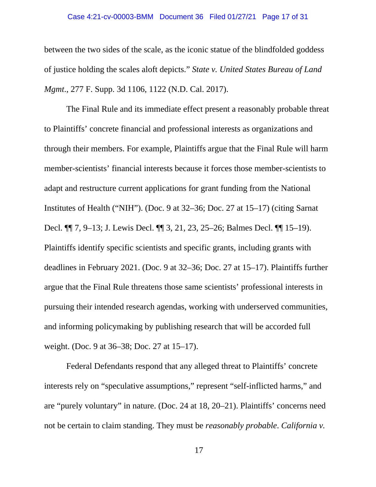#### Case 4:21-cv-00003-BMM Document 36 Filed 01/27/21 Page 17 of 31

between the two sides of the scale, as the iconic statue of the blindfolded goddess of justice holding the scales aloft depicts." *State v. United States Bureau of Land Mgmt*., 277 F. Supp. 3d 1106, 1122 (N.D. Cal. 2017).

The Final Rule and its immediate effect present a reasonably probable threat to Plaintiffs' concrete financial and professional interests as organizations and through their members. For example, Plaintiffs argue that the Final Rule will harm member-scientists' financial interests because it forces those member-scientists to adapt and restructure current applications for grant funding from the National Institutes of Health ("NIH"). (Doc. 9 at 32–36; Doc. 27 at 15–17) (citing Sarnat Decl. ¶¶ 7, 9–13; J. Lewis Decl. ¶¶ 3, 21, 23, 25–26; Balmes Decl. ¶¶ 15–19). Plaintiffs identify specific scientists and specific grants, including grants with deadlines in February 2021. (Doc. 9 at 32–36; Doc. 27 at 15–17). Plaintiffs further argue that the Final Rule threatens those same scientists' professional interests in pursuing their intended research agendas, working with underserved communities, and informing policymaking by publishing research that will be accorded full weight. (Doc. 9 at 36–38; Doc. 27 at 15–17).

Federal Defendants respond that any alleged threat to Plaintiffs' concrete interests rely on "speculative assumptions," represent "self-inflicted harms," and are "purely voluntary" in nature. (Doc. 24 at 18, 20–21). Plaintiffs' concerns need not be certain to claim standing. They must be *reasonably probable*. *California v.*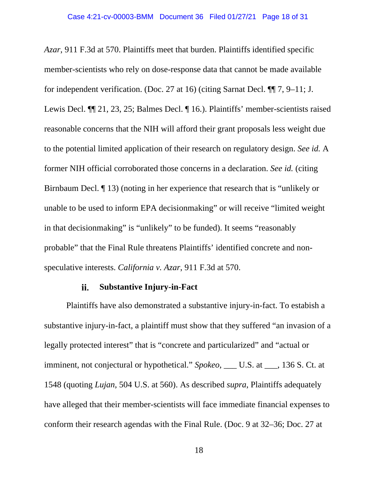*Azar*, 911 F.3d at 570. Plaintiffs meet that burden. Plaintiffs identified specific member-scientists who rely on dose-response data that cannot be made available for independent verification. (Doc. 27 at 16) (citing Sarnat Decl. ¶¶ 7, 9–11; J. Lewis Decl. ¶¶ 21, 23, 25; Balmes Decl. ¶ 16.). Plaintiffs' member-scientists raised reasonable concerns that the NIH will afford their grant proposals less weight due to the potential limited application of their research on regulatory design. *See id.* A former NIH official corroborated those concerns in a declaration. *See id.* (citing Birnbaum Decl. ¶ 13) (noting in her experience that research that is "unlikely or unable to be used to inform EPA decisionmaking" or will receive "limited weight in that decisionmaking" is "unlikely" to be funded). It seems "reasonably probable" that the Final Rule threatens Plaintiffs' identified concrete and nonspeculative interests. *California v. Azar*, 911 F.3d at 570.

#### **Substantive Injury-in-Fact**  ii.

Plaintiffs have also demonstrated a substantive injury-in-fact. To estabish a substantive injury-in-fact, a plaintiff must show that they suffered "an invasion of a legally protected interest" that is "concrete and particularized" and "actual or imminent, not conjectural or hypothetical." *Spokeo*, \_\_\_ U.S. at \_\_\_, 136 S. Ct. at 1548 (quoting *Lujan*, 504 U.S. at 560). As described *supra*, Plaintiffs adequately have alleged that their member-scientists will face immediate financial expenses to conform their research agendas with the Final Rule. (Doc. 9 at 32–36; Doc. 27 at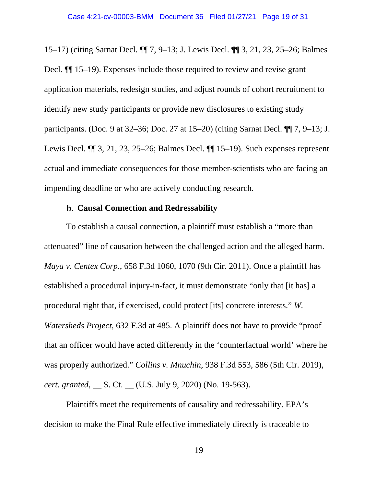15–17) (citing Sarnat Decl. ¶¶ 7, 9–13; J. Lewis Decl. ¶¶ 3, 21, 23, 25–26; Balmes Decl. ¶¶ 15–19). Expenses include those required to review and revise grant application materials, redesign studies, and adjust rounds of cohort recruitment to identify new study participants or provide new disclosures to existing study participants. (Doc. 9 at 32–36; Doc. 27 at 15–20) (citing Sarnat Decl. ¶¶ 7, 9–13; J. Lewis Decl. ¶¶ 3, 21, 23, 25–26; Balmes Decl. ¶¶ 15–19). Such expenses represent actual and immediate consequences for those member-scientists who are facing an impending deadline or who are actively conducting research.

## **Causal Connection and Redressability**

To establish a causal connection, a plaintiff must establish a "more than attenuated" line of causation between the challenged action and the alleged harm. *Maya v. Centex Corp.*, 658 F.3d 1060, 1070 (9th Cir. 2011). Once a plaintiff has established a procedural injury-in-fact, it must demonstrate "only that [it has] a procedural right that, if exercised, could protect [its] concrete interests." *W. Watersheds Project*, 632 F.3d at 485. A plaintiff does not have to provide "proof that an officer would have acted differently in the 'counterfactual world' where he was properly authorized." *Collins v. Mnuchin*, 938 F.3d 553, 586 (5th Cir. 2019), *cert. granted*, \_\_ S. Ct. \_\_ (U.S. July 9, 2020) (No. 19-563).

Plaintiffs meet the requirements of causality and redressability. EPA's decision to make the Final Rule effective immediately directly is traceable to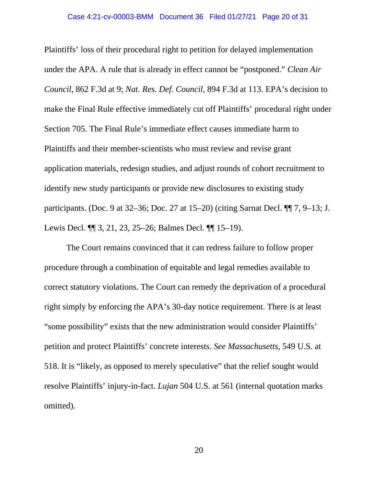#### Case 4:21-cv-00003-BMM Document 36 Filed 01/27/21 Page 20 of 31

Plaintiffs' loss of their procedural right to petition for delayed implementation under the APA. A rule that is already in effect cannot be "postponed." *Clean Air Council*, 862 F.3d at 9; *Nat. Res. Def. Council*, 894 F.3d at 113. EPA's decision to make the Final Rule effective immediately cut off Plaintiffs' procedural right under Section 705. The Final Rule's immediate effect causes immediate harm to Plaintiffs and their member-scientists who must review and revise grant application materials, redesign studies, and adjust rounds of cohort recruitment to identify new study participants or provide new disclosures to existing study participants. (Doc. 9 at 32–36; Doc. 27 at 15–20) (citing Sarnat Decl. ¶¶ 7, 9–13; J. Lewis Decl. ¶¶ 3, 21, 23, 25–26; Balmes Decl. ¶¶ 15–19).

The Court remains convinced that it can redress failure to follow proper procedure through a combination of equitable and legal remedies available to correct statutory violations. The Court can remedy the deprivation of a procedural right simply by enforcing the APA's 30-day notice requirement. There is at least "some possibility" exists that the new administration would consider Plaintiffs' petition and protect Plaintiffs' concrete interests. *See Massachusetts*, 549 U.S. at 518. It is "likely, as opposed to merely speculative" that the relief sought would resolve Plaintiffs' injury-in-fact. *Lujan* 504 U.S. at 561 (internal quotation marks omitted).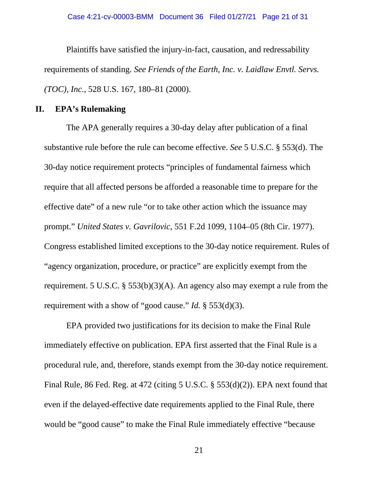Plaintiffs have satisfied the injury-in-fact, causation, and redressability requirements of standing. *See Friends of the Earth, Inc. v. Laidlaw Envtl. Servs. (TOC), Inc.*, 528 U.S. 167, 180–81 (2000).

# **II. EPA's Rulemaking**

The APA generally requires a 30-day delay after publication of a final substantive rule before the rule can become effective. *See* 5 U.S.C. § 553(d). The 30-day notice requirement protects "principles of fundamental fairness which require that all affected persons be afforded a reasonable time to prepare for the effective date" of a new rule "or to take other action which the issuance may prompt." *United States v. Gavrilovic*, 551 F.2d 1099, 1104–05 (8th Cir. 1977). Congress established limited exceptions to the 30-day notice requirement. Rules of "agency organization, procedure, or practice" are explicitly exempt from the requirement. 5 U.S.C. § 553(b)(3)(A). An agency also may exempt a rule from the requirement with a show of "good cause." *Id.* § 553(d)(3).

EPA provided two justifications for its decision to make the Final Rule immediately effective on publication. EPA first asserted that the Final Rule is a procedural rule, and, therefore, stands exempt from the 30-day notice requirement. Final Rule, 86 Fed. Reg. at 472 (citing 5 U.S.C. § 553(d)(2)). EPA next found that even if the delayed-effective date requirements applied to the Final Rule, there would be "good cause" to make the Final Rule immediately effective "because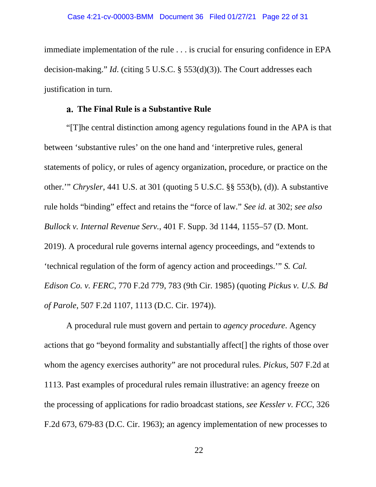immediate implementation of the rule . . . is crucial for ensuring confidence in EPA decision-making." *Id*. (citing 5 U.S.C. § 553(d)(3)). The Court addresses each justification in turn.

# **The Final Rule is a Substantive Rule**

"[T]he central distinction among agency regulations found in the APA is that between 'substantive rules' on the one hand and 'interpretive rules, general statements of policy, or rules of agency organization, procedure, or practice on the other.'" *Chrysler*, 441 U.S. at 301 (quoting 5 U.S.C. §§ 553(b), (d)). A substantive rule holds "binding" effect and retains the "force of law." *See id.* at 302; *see also Bullock v. Internal Revenue Serv.*, 401 F. Supp. 3d 1144, 1155–57 (D. Mont. 2019). A procedural rule governs internal agency proceedings, and "extends to 'technical regulation of the form of agency action and proceedings.'" *S. Cal. Edison Co. v. FERC*, 770 F.2d 779, 783 (9th Cir. 1985) (quoting *Pickus v. U.S. Bd of Parole*, 507 F.2d 1107, 1113 (D.C. Cir. 1974)).

A procedural rule must govern and pertain to *agency procedure*. Agency actions that go "beyond formality and substantially affect[] the rights of those over whom the agency exercises authority" are not procedural rules. *Pickus*, 507 F.2d at 1113. Past examples of procedural rules remain illustrative: an agency freeze on the processing of applications for radio broadcast stations, *see Kessler v. FCC*, 326 F.2d 673, 679-83 (D.C. Cir. 1963); an agency implementation of new processes to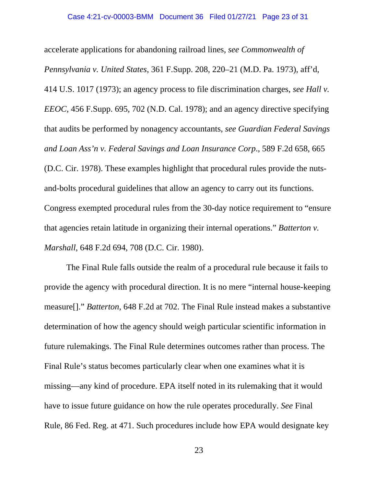accelerate applications for abandoning railroad lines, *see Commonwealth of Pennsylvania v. United States*, 361 F.Supp. 208, 220–21 (M.D. Pa. 1973), aff'd, 414 U.S. 1017 (1973); an agency process to file discrimination charges, *see Hall v. EEOC,* 456 F.Supp. 695, 702 (N.D. Cal. 1978); and an agency directive specifying that audits be performed by nonagency accountants, *see Guardian Federal Savings and Loan Ass'n v. Federal Savings and Loan Insurance Corp*., 589 F.2d 658, 665 (D.C. Cir. 1978). These examples highlight that procedural rules provide the nutsand-bolts procedural guidelines that allow an agency to carry out its functions. Congress exempted procedural rules from the 30-day notice requirement to "ensure that agencies retain latitude in organizing their internal operations." *Batterton v. Marshall*, 648 F.2d 694, 708 (D.C. Cir. 1980).

The Final Rule falls outside the realm of a procedural rule because it fails to provide the agency with procedural direction. It is no mere "internal house-keeping measure[]." *Batterton*, 648 F.2d at 702. The Final Rule instead makes a substantive determination of how the agency should weigh particular scientific information in future rulemakings. The Final Rule determines outcomes rather than process. The Final Rule's status becomes particularly clear when one examines what it is missing—any kind of procedure. EPA itself noted in its rulemaking that it would have to issue future guidance on how the rule operates procedurally. *See* Final Rule, 86 Fed. Reg. at 471. Such procedures include how EPA would designate key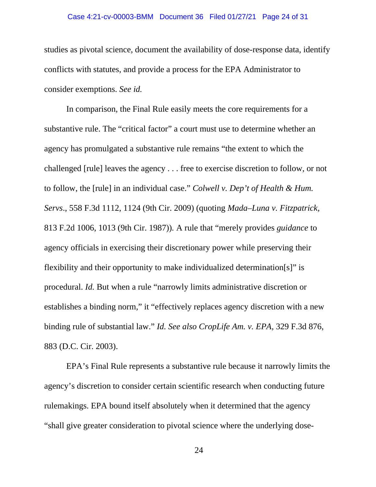#### Case 4:21-cv-00003-BMM Document 36 Filed 01/27/21 Page 24 of 31

studies as pivotal science, document the availability of dose-response data, identify conflicts with statutes, and provide a process for the EPA Administrator to consider exemptions. *See id.* 

In comparison, the Final Rule easily meets the core requirements for a substantive rule. The "critical factor" a court must use to determine whether an agency has promulgated a substantive rule remains "the extent to which the challenged [rule] leaves the agency . . . free to exercise discretion to follow, or not to follow, the [rule] in an individual case." *Colwell v. Dep't of Health & Hum. Servs*., 558 F.3d 1112, 1124 (9th Cir. 2009) (quoting *Mada–Luna v. Fitzpatrick*, 813 F.2d 1006, 1013 (9th Cir. 1987))*.* A rule that "merely provides *guidance* to agency officials in exercising their discretionary power while preserving their flexibility and their opportunity to make individualized determination[s]" is procedural. *Id.* But when a rule "narrowly limits administrative discretion or establishes a binding norm," it "effectively replaces agency discretion with a new binding rule of substantial law." *Id. See also CropLife Am. v. EPA*, 329 F.3d 876, 883 (D.C. Cir. 2003).

EPA's Final Rule represents a substantive rule because it narrowly limits the agency's discretion to consider certain scientific research when conducting future rulemakings. EPA bound itself absolutely when it determined that the agency "shall give greater consideration to pivotal science where the underlying dose-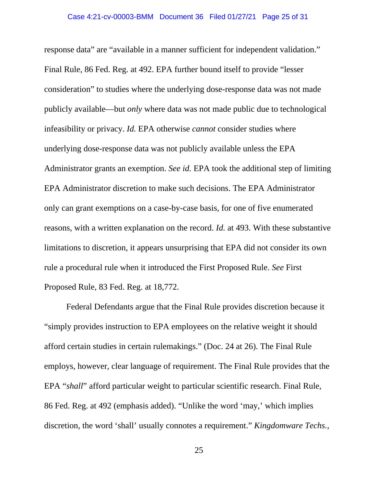response data" are "available in a manner sufficient for independent validation." Final Rule, 86 Fed. Reg. at 492. EPA further bound itself to provide "lesser consideration" to studies where the underlying dose-response data was not made publicly available—but *only* where data was not made public due to technological infeasibility or privacy. *Id.* EPA otherwise *cannot* consider studies where underlying dose-response data was not publicly available unless the EPA Administrator grants an exemption. *See id.* EPA took the additional step of limiting EPA Administrator discretion to make such decisions. The EPA Administrator only can grant exemptions on a case-by-case basis, for one of five enumerated reasons, with a written explanation on the record. *Id.* at 493. With these substantive limitations to discretion, it appears unsurprising that EPA did not consider its own rule a procedural rule when it introduced the First Proposed Rule. *See* First Proposed Rule, 83 Fed. Reg. at 18,772.

Federal Defendants argue that the Final Rule provides discretion because it "simply provides instruction to EPA employees on the relative weight it should afford certain studies in certain rulemakings." (Doc. 24 at 26). The Final Rule employs, however, clear language of requirement. The Final Rule provides that the EPA "*shall*" afford particular weight to particular scientific research. Final Rule, 86 Fed. Reg. at 492 (emphasis added). "Unlike the word 'may,' which implies discretion, the word 'shall' usually connotes a requirement." *Kingdomware Techs.,*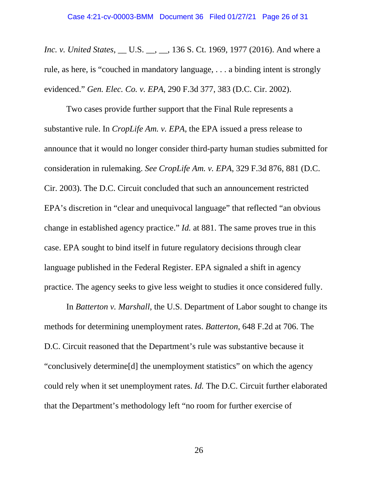*Inc. v. United States*, \_\_ U.S. \_\_, \_\_, 136 S. Ct. 1969, 1977 (2016). And where a rule, as here, is "couched in mandatory language, . . . a binding intent is strongly evidenced." *Gen. Elec. Co. v. EPA*, 290 F.3d 377, 383 (D.C. Cir. 2002).

Two cases provide further support that the Final Rule represents a substantive rule. In *CropLife Am. v. EPA*, the EPA issued a press release to announce that it would no longer consider third-party human studies submitted for consideration in rulemaking. *See CropLife Am. v. EPA*, 329 F.3d 876, 881 (D.C. Cir. 2003). The D.C. Circuit concluded that such an announcement restricted EPA's discretion in "clear and unequivocal language" that reflected "an obvious change in established agency practice." *Id.* at 881. The same proves true in this case. EPA sought to bind itself in future regulatory decisions through clear language published in the Federal Register. EPA signaled a shift in agency practice. The agency seeks to give less weight to studies it once considered fully.

In *Batterton v. Marshall*, the U.S. Department of Labor sought to change its methods for determining unemployment rates. *Batterton*, 648 F.2d at 706. The D.C. Circuit reasoned that the Department's rule was substantive because it "conclusively determine[d] the unemployment statistics" on which the agency could rely when it set unemployment rates. *Id.* The D.C. Circuit further elaborated that the Department's methodology left "no room for further exercise of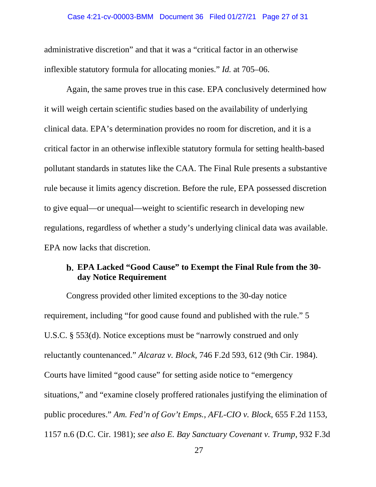#### Case 4:21-cv-00003-BMM Document 36 Filed 01/27/21 Page 27 of 31

administrative discretion" and that it was a "critical factor in an otherwise inflexible statutory formula for allocating monies." *Id.* at 705–06.

Again, the same proves true in this case. EPA conclusively determined how it will weigh certain scientific studies based on the availability of underlying clinical data. EPA's determination provides no room for discretion, and it is a critical factor in an otherwise inflexible statutory formula for setting health-based pollutant standards in statutes like the CAA. The Final Rule presents a substantive rule because it limits agency discretion. Before the rule, EPA possessed discretion to give equal—or unequal—weight to scientific research in developing new regulations, regardless of whether a study's underlying clinical data was available. EPA now lacks that discretion.

# **EPA Lacked "Good Cause" to Exempt the Final Rule from the 30 day Notice Requirement**

Congress provided other limited exceptions to the 30-day notice requirement, including "for good cause found and published with the rule." 5 U.S.C. § 553(d). Notice exceptions must be "narrowly construed and only reluctantly countenanced." *Alcaraz v. Block*, 746 F.2d 593, 612 (9th Cir. 1984). Courts have limited "good cause" for setting aside notice to "emergency situations," and "examine closely proffered rationales justifying the elimination of public procedures." *Am. Fed'n of Gov't Emps., AFL-CIO v. Block*, 655 F.2d 1153, 1157 n.6 (D.C. Cir. 1981); *see also E. Bay Sanctuary Covenant v. Trump*, 932 F.3d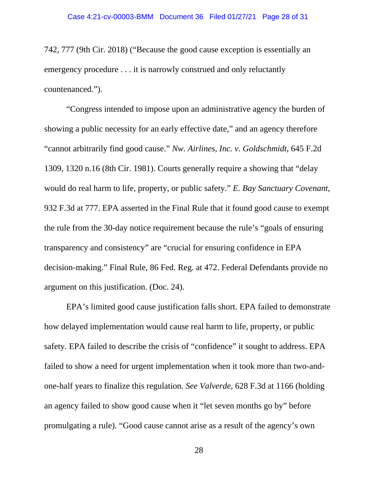742, 777 (9th Cir. 2018) ("Because the good cause exception is essentially an emergency procedure . . . it is narrowly construed and only reluctantly countenanced.").

"Congress intended to impose upon an administrative agency the burden of showing a public necessity for an early effective date," and an agency therefore "cannot arbitrarily find good cause." *Nw. Airlines, Inc. v. Goldschmidt*, 645 F.2d 1309, 1320 n.16 (8th Cir. 1981). Courts generally require a showing that "delay would do real harm to life, property, or public safety." *E. Bay Sanctuary Covenant*, 932 F.3d at 777. EPA asserted in the Final Rule that it found good cause to exempt the rule from the 30-day notice requirement because the rule's "goals of ensuring transparency and consistency" are "crucial for ensuring confidence in EPA decision-making." Final Rule, 86 Fed. Reg. at 472. Federal Defendants provide no argument on this justification. (Doc. 24).

EPA's limited good cause justification falls short. EPA failed to demonstrate how delayed implementation would cause real harm to life, property, or public safety. EPA failed to describe the crisis of "confidence" it sought to address. EPA failed to show a need for urgent implementation when it took more than two-andone-half years to finalize this regulation. *See Valverde*, 628 F.3d at 1166 (holding an agency failed to show good cause when it "let seven months go by" before promulgating a rule). "Good cause cannot arise as a result of the agency's own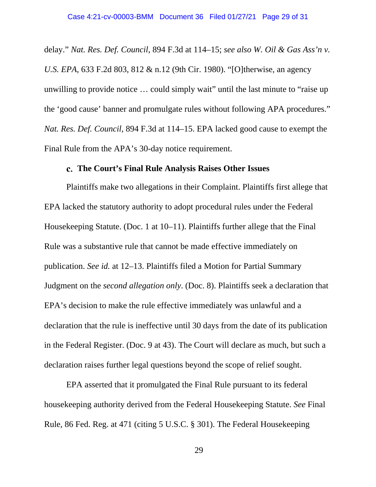delay." *Nat. Res. Def. Council*, 894 F.3d at 114–15; *see also W. Oil & Gas Ass'n v. U.S. EPA*, 633 F.2d 803, 812 & n.12 (9th Cir. 1980). "[O]therwise, an agency unwilling to provide notice … could simply wait" until the last minute to "raise up the 'good cause' banner and promulgate rules without following APA procedures." *Nat. Res. Def. Council*, 894 F.3d at 114–15. EPA lacked good cause to exempt the Final Rule from the APA's 30-day notice requirement.

#### **The Court's Final Rule Analysis Raises Other Issues**

Plaintiffs make two allegations in their Complaint. Plaintiffs first allege that EPA lacked the statutory authority to adopt procedural rules under the Federal Housekeeping Statute. (Doc. 1 at 10–11). Plaintiffs further allege that the Final Rule was a substantive rule that cannot be made effective immediately on publication. *See id.* at 12–13. Plaintiffs filed a Motion for Partial Summary Judgment on the *second allegation only*. (Doc. 8). Plaintiffs seek a declaration that EPA's decision to make the rule effective immediately was unlawful and a declaration that the rule is ineffective until 30 days from the date of its publication in the Federal Register. (Doc. 9 at 43). The Court will declare as much, but such a declaration raises further legal questions beyond the scope of relief sought.

EPA asserted that it promulgated the Final Rule pursuant to its federal housekeeping authority derived from the Federal Housekeeping Statute. *See* Final Rule, 86 Fed. Reg. at 471 (citing 5 U.S.C. § 301). The Federal Housekeeping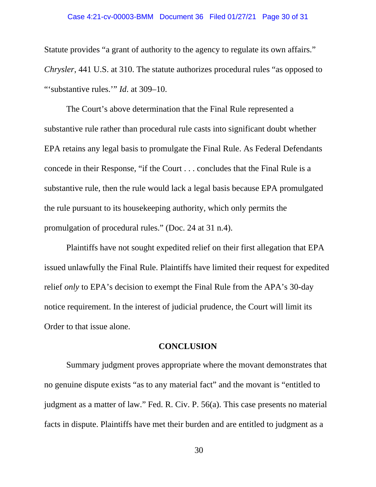#### Case 4:21-cv-00003-BMM Document 36 Filed 01/27/21 Page 30 of 31

Statute provides "a grant of authority to the agency to regulate its own affairs." *Chrysler*, 441 U.S. at 310. The statute authorizes procedural rules "as opposed to "'substantive rules.'" *Id*. at 309–10.

The Court's above determination that the Final Rule represented a substantive rule rather than procedural rule casts into significant doubt whether EPA retains any legal basis to promulgate the Final Rule. As Federal Defendants concede in their Response, "if the Court . . . concludes that the Final Rule is a substantive rule, then the rule would lack a legal basis because EPA promulgated the rule pursuant to its housekeeping authority, which only permits the promulgation of procedural rules." (Doc. 24 at 31 n.4).

Plaintiffs have not sought expedited relief on their first allegation that EPA issued unlawfully the Final Rule. Plaintiffs have limited their request for expedited relief *only* to EPA's decision to exempt the Final Rule from the APA's 30-day notice requirement. In the interest of judicial prudence, the Court will limit its Order to that issue alone.

### **CONCLUSION**

Summary judgment proves appropriate where the movant demonstrates that no genuine dispute exists "as to any material fact" and the movant is "entitled to judgment as a matter of law." Fed. R. Civ. P. 56(a). This case presents no material facts in dispute. Plaintiffs have met their burden and are entitled to judgment as a